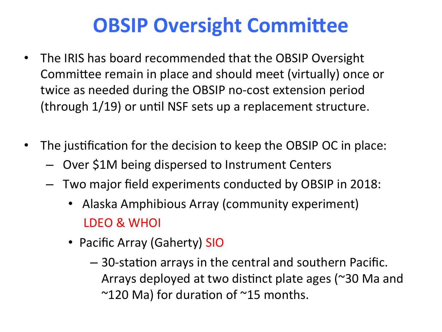### **OBSIP Oversight Committee**

- The IRIS has board recommended that the OBSIP Oversight Committee remain in place and should meet (virtually) once or twice as needed during the OBSIP no-cost extension period (through  $1/19$ ) or until NSF sets up a replacement structure.
- The justification for the decision to keep the OBSIP OC in place:
	- Over \$1M being dispersed to Instrument Centers
	- $-$  Two major field experiments conducted by OBSIP in 2018:
		- Alaska Amphibious Array (community experiment) LDEO & WHOI
		- Pacific Array (Gaherty) SIO
			- $-$  30-station arrays in the central and southern Pacific. Arrays deployed at two distinct plate ages ( $\approx$ 30 Ma and  $\sim$ 120 Ma) for duration of  $\sim$ 15 months.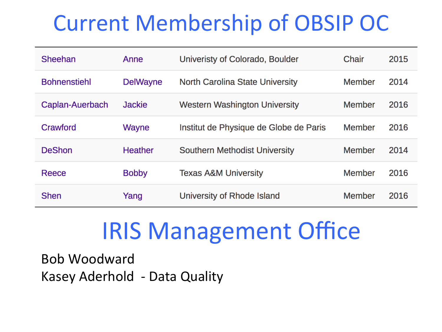### **Current Membership of OBSIP OC**

| Sheehan             | Anne            | Univeristy of Colorado, Boulder        | Chair         | 2015 |
|---------------------|-----------------|----------------------------------------|---------------|------|
| <b>Bohnenstiehl</b> | <b>DelWayne</b> | North Carolina State University        | Member        | 2014 |
| Caplan-Auerbach     | <b>Jackie</b>   | <b>Western Washington University</b>   | Member        | 2016 |
| Crawford            | <b>Wayne</b>    | Institut de Physique de Globe de Paris | <b>Member</b> | 2016 |
| <b>DeShon</b>       | <b>Heather</b>  | <b>Southern Methodist University</b>   | Member        | 2014 |
| Reece               | <b>Bobby</b>    | <b>Texas A&amp;M University</b>        | <b>Member</b> | 2016 |
| <b>Shen</b>         | Yang            | University of Rhode Island             | Member        | 2016 |

# **IRIS Management Office**

Bob Woodward Kasey Aderhold - Data Quality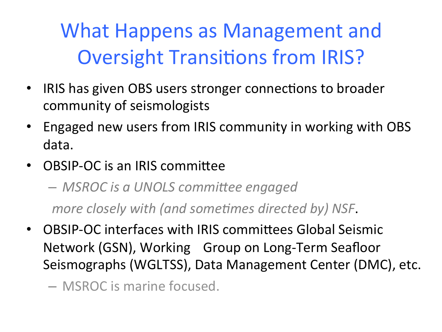What Happens as Management and **Oversight Transitions from IRIS?** 

- IRIS has given OBS users stronger connections to broader community of seismologists
- Engaged new users from IRIS community in working with OBS data.
- OBSIP-OC is an IRIS committee

 $-$  *MSROC* is a UNOLS committee engaged

*more closely with (and sometimes directed by) NSF.* 

• OBSIP-OC interfaces with IRIS committees Global Seismic Network (GSN), Working Group on Long-Term Seafloor Seismographs (WGLTSS), Data Management Center (DMC), etc.

 $-$  MSROC is marine focused.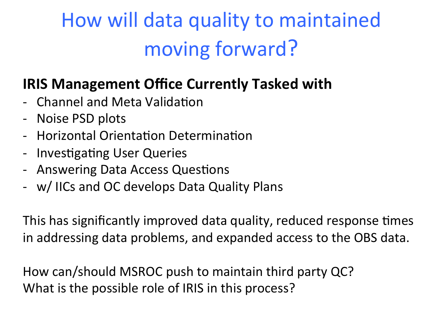## How will data quality to maintained moving forward?

#### **IRIS Management Office Currently Tasked with**

- Channel and Meta Validation
- Noise PSD plots
- Horizontal Orientation Determination
- Investigating User Queries
- Answering Data Access Questions
- w/ IICs and OC develops Data Quality Plans

This has significantly improved data quality, reduced response times in addressing data problems, and expanded access to the OBS data.

How can/should MSROC push to maintain third party QC? What is the possible role of IRIS in this process?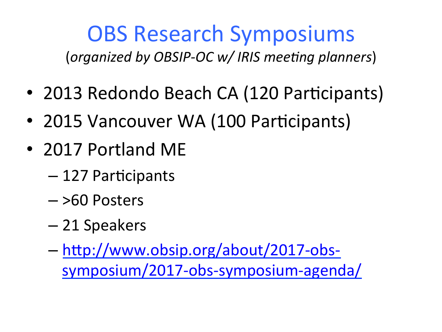# **OBS Research Symposiums**

(organized by OBSIP-OC w/ IRIS meeting planners)

- 2013 Redondo Beach CA (120 Participants)
- 2015 Vancouver WA (100 Participants)
- 2017 Portland ME
	- $-127$  Participants
	- $-$  >60 Posters
	- 21 Speakers
	- http://www.obsip.org/about/2017-obssymposium/2017-obs-symposium-agenda/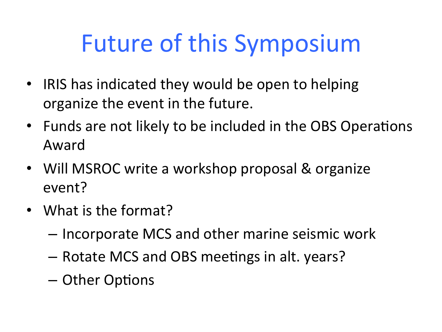# Future of this Symposium

- IRIS has indicated they would be open to helping organize the event in the future.
- Funds are not likely to be included in the OBS Operations Award
- Will MSROC write a workshop proposal & organize event?
- What is the format?
	- Incorporate MCS and other marine seismic work
	- Rotate MCS and OBS meetings in alt. years?
	- Other Options